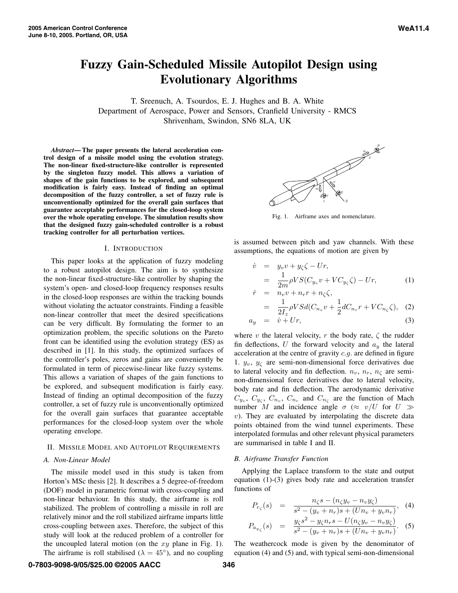# **Fuzzy Gain-Scheduled Missile Autopilot Design using Evolutionary Algorithms**

T. Sreenuch, A. Tsourdos, E. J. Hughes and B. A. White Department of Aerospace, Power and Sensors, Cranfield University - RMCS Shrivenham, Swindon, SN6 8LA, UK

*Abstract***— The paper presents the lateral acceleration control design of a missile model using the evolution strategy. The non-linear fixed-structure-like controller is represented by the singleton fuzzy model. This allows a variation of shapes of the gain functions to be explored, and subsequent modification is fairly easy. Instead of finding an optimal decomposition of the fuzzy controller, a set of fuzzy rule is unconventionally optimized for the overall gain surfaces that guarantee acceptable performances for the closed-loop system over the whole operating envelope. The simulation results show that the designed fuzzy gain-scheduled controller is a robust tracking controller for all perturbation vertices.**

## I. INTRODUCTION

This paper looks at the application of fuzzy modeling to a robust autopilot design. The aim is to synthesize the non-linear fixed-structure-like controller by shaping the system's open- and closed-loop frequency responses results in the closed-loop responses are within the tracking bounds without violating the actuator constraints. Finding a feasible non-linear controller that meet the desired specifications can be very difficult. By formulating the former to an optimization problem, the specific solutions on the Pareto front can be identified using the evolution strategy (ES) as described in [1]. In this study, the optimized surfaces of the controller's poles, zeros and gains are conveniently be formulated in term of piecewise-linear like fuzzy systems. This allows a variation of shapes of the gain functions to be explored, and subsequent modification is fairly easy. Instead of finding an optimal decomposition of the fuzzy controller, a set of fuzzy rule is unconventionally optimized for the overall gain surfaces that guarantee acceptable performances for the closed-loop system over the whole operating envelope.

#### II. MISSILE MODEL AND AUTOPILOT REQUIREMENTS

# *A. Non-Linear Model*

The missile model used in this study is taken from Horton's MSc thesis [2]. It describes a 5 degree-of-freedom (DOF) model in parametric format with cross-coupling and non-linear behaviour. In this study, the airframe is roll stabilized. The problem of controlling a missile in roll are relatively minor and the roll stabilized airframe imparts little cross-coupling between axes. Therefore, the subject of this study will look at the reduced problem of a controller for the uncoupled lateral motion (on the  $xy$  plane in Fig. 1). The airframe is roll stabilised ( $\lambda = 45^{\circ}$ ), and no coupling



Fig. 1. Airframe axes and nomenclature.

is assumed between pitch and yaw channels. With these assumptions, the equations of motion are given by

$$
\dot{v} = y_v v + y_\zeta \zeta - Ur,
$$
  
= 
$$
\frac{1}{2m} \rho V S(C_{y_v} v + V C_{y_\zeta} \zeta) - Ur,
$$
 (1)

$$
\dot{r} = n_v v + n_r r + n_\zeta \zeta,
$$
  
= 
$$
\frac{1}{2I_z} \rho V S d(C_{n_v} v + \frac{1}{2} dC_{n_r} r + V C_{n_\zeta} \zeta),
$$
 (2)

$$
a_y = \dot{v} + Ur,\tag{3}
$$

where v the lateral velocity, r the body rate,  $\zeta$  the rudder fin deflections, U the forward velocity and  $a_y$  the lateral acceleration at the centre of gravity  $c.g.$  are defined in figure 1.  $y_v$ ,  $y_c$  are semi-non-dimensional force derivatives due to lateral velocity and fin deflection.  $n_v$ ,  $n_r$ ,  $n_c$  are seminon-dimensional force derivatives due to lateral velocity, body rate and fin deflection. The aerodynamic derivative  $C_{y_v}$ ,  $C_{y_\zeta}$ ,  $C_{n_v}$ ,  $C_{n_v}$  and  $C_{n_\zeta}$  are the function of Mach number M and incidence angle  $\sigma$  ( $\approx v/U$  for  $U \gg$  $v$ ). They are evaluated by interpolating the discrete data points obtained from the wind tunnel experiments. These interpolated formulas and other relevant physical parameters are summarised in table I and II.

## *B. Airframe Transfer Function*

Applying the Laplace transform to the state and output equation (1)-(3) gives body rate and acceleration transfer functions of

$$
P_{r_{\zeta}}(s) = \frac{n_{\zeta}s - (n_{\zeta}y_v - n_vy_{\zeta})}{s^2 - (y_v + n_r)s + (Un_v + y_vn_r)}, \quad (4)
$$

$$
P_{a_{y_{\zeta}}}(s) = \frac{y_{\zeta}s^2 - y_{\zeta}n_r s - U(n_{\zeta}y_v - n_v y_{\zeta})}{s^2 - (y_v + n_r)s + (Un_v + y_v n_r)}.
$$
 (5)

The weathercock mode is given by the denominator of equation (4) and (5) and, with typical semi-non-dimensional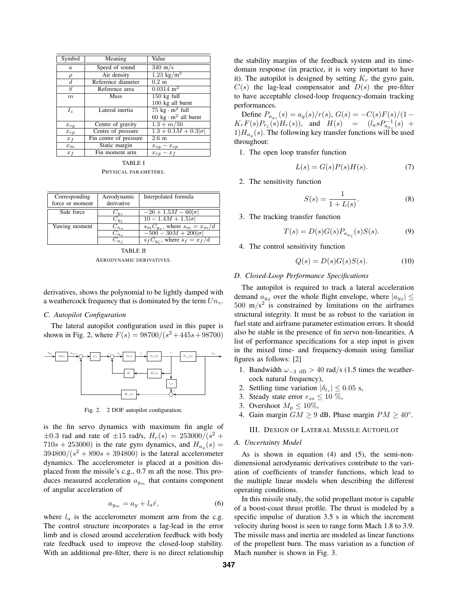| Symbol           | Meaning                | Value                                  |
|------------------|------------------------|----------------------------------------|
| $\boldsymbol{a}$ | Speed of sound         | $340 \text{ m/s}$                      |
| $\rho$           | Air density            | $1.23 \text{ kg/m}^3$                  |
| $\boldsymbol{d}$ | Reference diameter     | $0.2 \text{ m}$                        |
| S                | Reference area         | $0.0314 \text{ m}^2$                   |
| m                | Mass                   | $150$ kg full                          |
|                  |                        | 100 kg all burnt                       |
| $I_z$            | Lateral inertia        | 75 kg $\cdot$ m <sup>2</sup> full      |
|                  |                        | 60 kg $\cdot$ m <sup>2</sup> all burnt |
| $x_{cg}$         | Centre of gravity      | $1.3 + m/50$                           |
| $x_{cp}$         | Centre of pressure     | $1.3 + 0.1M + 0.3\sigma$               |
| $x_f$            | Fin centre of pressure | $2.6 \text{ m}$                        |
| $x_m$            | Static margin          | $x_{cg}-x_{cp}$                        |
| $x_f$            | Fin moment arm         | $x_{cq}-x_f$                           |

TABLE I PHYSICAL PARAMETERS.

| Corresponding<br>force or moment | Aerodynamic<br>derivative | Interpolated formula                |
|----------------------------------|---------------------------|-------------------------------------|
|                                  |                           |                                     |
| Side force                       | $\mathcal{U}_v$           | $-26 + 1.5M - 60 \sigma $           |
|                                  | $\cdot \cdot u_{\infty}$  | $10 - 1.4M + 1.5\sigma$             |
| Yawing moment                    | $C_{n_n}$                 | $s_m C_{y_n}$ , where $s_m = x_m/d$ |
|                                  | $\cup_{n_{r}}$            | $-500 - 30M + 200 \sigma $          |
|                                  | $\cdot$ in.               | $s_f C_{y_c}$ , where $s_f = x_f/d$ |

TABLE II AERODYNAMIC DERIVATIVES.

derivatives, shows the polynomial to be lightly damped with a weathercock frequency that is dominated by the term  $Un_v$ .

# *C. Autopilot Configuration*

The lateral autopilot configuration used in this paper is shown in Fig. 2, where  $F(s) = 98700/(s^2 + 445s + 98700)$ 



Fig. 2. 2 DOF autopilot configuration.

is the fin servo dynamics with maximum fin angle of  $\pm 0.3$  rad and rate of  $\pm 15$  rad/s,  $H_r(s) = 253000/(s^2 +$  $710s + 253000$ ) is the rate gyro dynamics, and  $H_{a_n}(s) =$  $394800/(s^2+890s+394800)$  is the lateral accelerometer dynamics. The accelerometer is placed at a position displaced from the missile's c.g., 0.7 m aft the nose. This produces measured acceleration  $a_{y_m}$  that contains component of angular acceleration of

$$
a_{y_m} = a_y + l_a \dot{r},\tag{6}
$$

where  $l_a$  is the accelerometer moment arm from the c.g. The control structure incorporates a lag-lead in the error limb and is closed around acceleration feedback with body rate feedback used to improve the closed-loop stability. With an additional pre-filter, there is no direct relationship

the stability margins of the feedback system and its timedomain response (in practice, it is very important to have it). The autopilot is designed by setting  $K_r$  the gyro gain,  $C(s)$  the lag-lead compensator and  $D(s)$  the pre-filter to have acceptable closed-loop frequency-domain tracking performances.

Define  $P_{a_{y_r}}(s) = a_y(s)/r(s)$ ,  $G(s) = -C(s)F(s)/(1 K_rF(s)P_{r_\zeta}(s)H_r(s)$ , and  $H(s) = (l_asP_{a_{y_r}}^{-1}(s) +$  $1/H_{a_{\nu}}(s)$ . The following key transfer functions will be used throughout:

1. The open loop transfer function

$$
L(s) = G(s)P(s)H(s).
$$
\n(7)

2. The sensitivity function

$$
S(s) = \frac{1}{1 + L(s)}.
$$
 (8)

3. The tracking transfer function

$$
T(s) = D(s)G(s)P_{a_{y_c}}(s)S(s).
$$
 (9)

4. The control sensitivity function

$$
Q(s) = D(s)G(s)S(s).
$$
\n(10)

# *D. Closed-Loop Performance Specifications*

The autopilot is required to track a lateral acceleration demand  $a_{y_d}$  over the whole flight envelope, where  $|a_{y_d}| \leq$  $500 \text{ m/s}^2$  is constrained by limitations on the airframes structural integrity. It must be as robust to the variation in fuel state and airframe parameter estimation errors. It should also be stable in the presence of fin servo non-linearities. A list of performance specifications for a step input is given in the mixed time- and frequency-domain using familiar figures as follows: [2]

- 1. Bandwidth  $\omega_{-3 \text{ dB}} > 40 \text{ rad/s}$  (1.5 times the weathercock natural frequency),
- 2. Settling time variation  $|\delta_{t_s}| \leq 0.05$  s,
- 3. Steady state error  $e_{ss} \leq 10\%$ ,
- 3. Overshoot  $M_p \leq 10\%$ ,
- 4. Gain margin  $GM \geq 9$  dB, Phase margin  $PM \geq 40^{\circ}$ .

#### III. DESIGN OF LATERAL MISSILE AUTOPILOT

#### *A. Uncertainty Model*

As is shown in equation (4) and (5), the semi-nondimensional aerodynamic derivatives contribute to the variation of coefficients of transfer functions, which lead to the multiple linear models when describing the different operating conditions.

In this missile study, the solid propellant motor is capable of a boost-coast thrust profile. The thrust is modeled by a specific impulse of duration 3.5 s in which the increment velocity during boost is seen to range form Mach 1.8 to 3.9. The missile mass and inertia are modeled as linear functions of the propellent burn. The mass variation as a function of Mach number is shown in Fig. 3.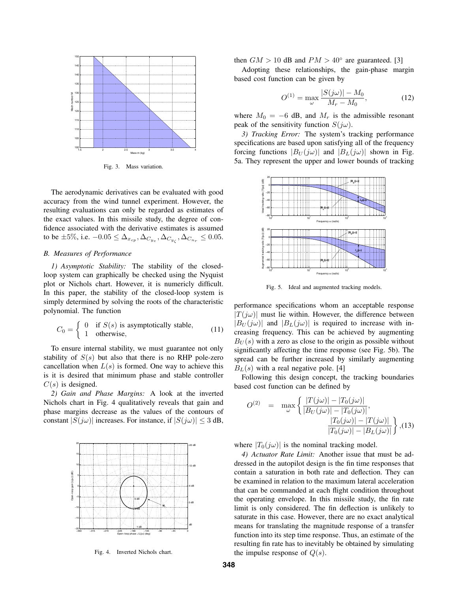

Fig. 3. Mass variation.

The aerodynamic derivatives can be evaluated with good accuracy from the wind tunnel experiment. However, the resulting evaluations can only be regarded as estimates of the exact values. In this missile study, the degree of confidence associated with the derivative estimates is assumed to be  $\pm 5\%,$  i.e.  $-0.05 \leq \Delta_{x_{cp}}, \Delta_{C_{y_v}}, \Delta_{C_{y_\zeta}}, \Delta_{C_{n_r}} \leq 0.05$ .

# *B. Measures of Performance*

*1) Asymptotic Stability:* The stability of the closedloop system can graphically be checked using the Nyquist plot or Nichols chart. However, it is numericly difficult. In this paper, the stability of the closed-loop system is simply determined by solving the roots of the characteristic polynomial. The function

$$
C_0 = \begin{cases} 0 & \text{if } S(s) \text{ is asymptotically stable,} \\ 1 & \text{otherwise,} \end{cases}
$$
 (11)

To ensure internal stability, we must guarantee not only stability of  $S(s)$  but also that there is no RHP pole-zero cancellation when  $L(s)$  is formed. One way to achieve this is it is desired that minimum phase and stable controller  $C(s)$  is designed.

*2) Gain and Phase Margins:* A look at the inverted Nichols chart in Fig. 4 qualitatively reveals that gain and phase margins decrease as the values of the contours of constant  $|S(j\omega)|$  increases. For instance, if  $|S(j\omega)| \leq 3$  dB,



Fig. 4. Inverted Nichols chart.

then  $GM > 10$  dB and  $PM > 40°$  are guaranteed. [3]

Adopting these relationships, the gain-phase margin based cost function can be given by

$$
O^{(1)} = \max_{\omega} \frac{|S(j\omega)| - M_0}{M_r - M_0},
$$
\n(12)

where  $M_0 = -6$  dB, and  $M_r$  is the admissible resonant peak of the sensitivity function  $S(j\omega)$ .

*3) Tracking Error:* The system's tracking performance specifications are based upon satisfying all of the frequency forcing functions  $|B_U(j\omega)|$  and  $|B_L(j\omega)|$  shown in Fig. 5a. They represent the upper and lower bounds of tracking



Fig. 5. Ideal and augmented tracking models.

performance specifications whom an acceptable response  $|T(j\omega)|$  must lie within. However, the difference between  $|B_U(j\omega)|$  and  $|B_L(j\omega)|$  is required to increase with increasing frequency. This can be achieved by augmenting  $B_U(s)$  with a zero as close to the origin as possible without significantly affecting the time response (see Fig. 5b). The spread can be further increased by similarly augmenting  $B<sub>L</sub>(s)$  with a real negative pole. [4]

Following this design concept, the tracking boundaries based cost function can be defined by

$$
O^{(2)} = \max_{\omega} \left\{ \frac{|T(j\omega)| - |T_0(j\omega)|}{|B_U(j\omega)| - |T_0(j\omega)|}, \frac{|T_0(j\omega)| - |T(j\omega)|}{|T_0(j\omega)| - |B_L(j\omega)|} \right\}, (13)
$$

where  $|T_0(j\omega)|$  is the nominal tracking model.

*4) Actuator Rate Limit:* Another issue that must be addressed in the autopilot design is the fin time responses that contain a saturation in both rate and deflection. They can be examined in relation to the maximum lateral acceleration that can be commanded at each flight condition throughout the operating envelope. In this missile study, the fin rate limit is only considered. The fin deflection is unlikely to saturate in this case. However, there are no exact analytical means for translating the magnitude response of a transfer function into its step time response. Thus, an estimate of the resulting fin rate has to inevitably be obtained by simulating the impulse response of  $Q(s)$ .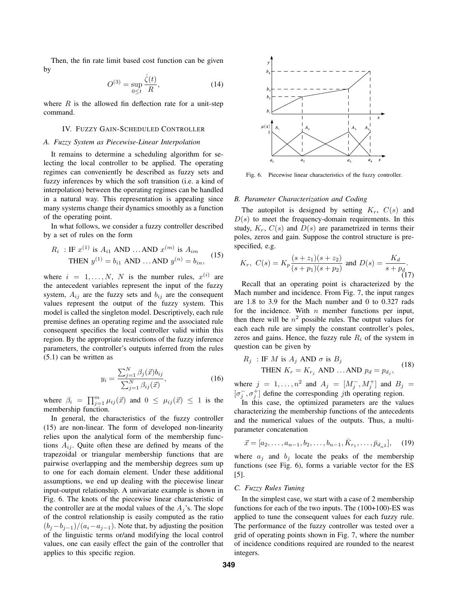Then, the fin rate limit based cost function can be given by

$$
O^{(3)} = \sup_{0 \le t} \frac{\dot{\zeta}(t)}{R},
$$
 (14)

where  $R$  is the allowed fin deflection rate for a unit-step command.

# IV. FUZZY GAIN-SCHEDULED CONTROLLER

## *A. Fuzzy System as Piecewise-Linear Interpolation*

It remains to determine a scheduling algorithm for selecting the local controller to be applied. The operating regimes can conveniently be described as fuzzy sets and fuzzy inferences by which the soft transition (i.e. a kind of interpolation) between the operating regimes can be handled in a natural way. This representation is appealing since many systems change their dynamics smoothly as a function of the operating point.

In what follows, we consider a fuzzy controller described by a set of rules on the form

$$
R_i : \text{IF } x^{(1)} \text{ is } A_{i1} \text{ AND } \dots \text{AND } x^{(m)} \text{ is } A_{im}
$$
  
THEN  $y^{(1)} = b_{i1} \text{ AND } \dots \text{AND } y^{(n)} = b_{in},$  (15)

where  $i = 1, ..., N$ , N is the number rules,  $x^{(i)}$  are the antecedent variables represent the input of the fuzzy system,  $A_{ij}$  are the fuzzy sets and  $b_{ij}$  are the consequent values represent the output of the fuzzy system. This model is called the singleton model. Descriptively, each rule premise defines an operating regime and the associated rule consequent specifies the local controller valid within this region. By the appropriate restrictions of the fuzzy inference parameters, the controller's outputs inferred from the rules (5.1) can be written as

$$
y_i = \frac{\sum_{j=1}^{N} \beta_j(\vec{x}) b_{ij}}{\sum_{j=1}^{N} \beta_{ij}(\vec{x})},
$$
\n(16)

where  $\beta_i = \prod_{i=1}^m \mu_{ij}(\vec{x})$  and  $0 \leq \mu_{ij}(\vec{x}) \leq 1$  is the membership function.

In general, the characteristics of the fuzzy controller (15) are non-linear. The form of developed non-linearity relies upon the analytical form of the membership functions  $A_{ij}$ . Quite often these are defined by means of the trapezoidal or triangular membership functions that are pairwise overlapping and the membership degrees sum up to one for each domain element. Under these additional assumptions, we end up dealing with the piecewise linear input-output relationship. A univariate example is shown in Fig. 6. The knots of the piecewise linear characteristic of the controller are at the modal values of the  $A_i$ 's. The slope of the control relationship is easily computed as the ratio  $(b_j - b_{j-1})/(a_i - a_{j-1})$ . Note that, by adjusting the position of the linguistic terms or/and modifying the local control values, one can easily effect the gain of the controller that applies to this specific region.



Fig. 6. Piecewise linear characteristics of the fuzzy controller.

## *B. Parameter Characterization and Coding*

The autopilot is designed by setting  $K_r$ ,  $C(s)$  and  $D(s)$  to meet the frequency-domain requirements. In this study,  $K_r$ ,  $C(s)$  and  $D(s)$  are parametrized in terms their poles, zeros and gain. Suppose the control structure is prespecified, e.g.

$$
K_r
$$
,  $C(s) = K_p \frac{(s+z_1)(s+z_2)}{(s+p_1)(s+p_2)}$  and  $D(s) = \frac{K_d}{s+p_d}$ . (17)

Recall that an operating point is characterized by the Mach number and incidence. From Fig. 7, the input ranges are 1.8 to 3.9 for the Mach number and 0 to 0.327 rads for the incidence. With  $n$  member functions per input, then there will be  $n^2$  possible rules. The output values for each each rule are simply the constant controller's poles, zeros and gains. Hence, the fuzzy rule  $R_i$  of the system in question can be given by

$$
R_j : \text{IF } M \text{ is } A_j \text{ AND } \sigma \text{ is } B_j
$$
  
THEN  $K_r = K_{r_j} \text{ AND } ... \text{ AND } p_d = p_{d_j},$  (18)

where  $j = 1, \ldots, n^2$  and  $A_j = [M_j^-, M_j^+]$  and  $B_j =$  $[\sigma_i^-, \sigma_i^+]$  define the corresponding *j*th operating region.

In this case, the optimized parameters are the values characterizing the membership functions of the antecedents and the numerical values of the outputs. Thus, a multiparameter concatenation

$$
\vec{x} = [a_2, \dots, a_{n-1}, b_2, \dots, b_{n-1}, \bar{K}_{r_1}, \dots, \bar{p}_{d_{n^2}}], \quad (19)
$$

where  $a_i$  and  $b_i$  locate the peaks of the membership functions (see Fig. 6), forms a variable vector for the ES [5].

## *C. Fuzzy Rules Tuning*

In the simplest case, we start with a case of 2 membership functions for each of the two inputs. The (100+100)-ES was applied to tune the consequent values for each fuzzy rule. The performance of the fuzzy controller was tested over a grid of operating points shown in Fig. 7, where the number of incidence conditions required are rounded to the nearest integers.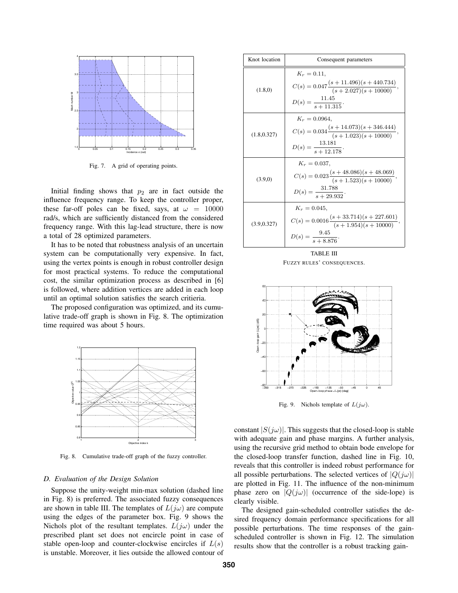

Fig. 7. A grid of operating points.

Initial finding shows that  $p_2$  are in fact outside the influence frequency range. To keep the controller proper, these far-off poles can be fixed, says, at  $\omega = 10000$ rad/s, which are sufficiently distanced from the considered frequency range. With this lag-lead structure, there is now a total of 28 optimized parameters.

It has to be noted that robustness analysis of an uncertain system can be computationally very expensive. In fact, using the vertex points is enough in robust controller design for most practical systems. To reduce the computational cost, the similar optimization process as described in [6] is followed, where addition vertices are added in each loop until an optimal solution satisfies the search critieria.

The proposed configuration was optimized, and its cumulative trade-off graph is shown in Fig. 8. The optimization time required was about 5 hours.



Fig. 8. Cumulative trade-off graph of the fuzzy controller.

# *D. Evaluation of the Design Solution*

Suppose the unity-weight min-max solution (dashed line in Fig. 8) is preferred. The associated fuzzy consequences are shown in table III. The templates of  $L(i\omega)$  are compute using the edges of the parameter box. Fig. 9 shows the Nichols plot of the resultant templates.  $L(j\omega)$  under the prescribed plant set does not encircle point in case of stable open-loop and counter-clockwise encircles if  $L(s)$ is unstable. Moreover, it lies outside the allowed contour of

|  | Knot location<br>Consequent parameters |                                                                                                                                         |
|--|----------------------------------------|-----------------------------------------------------------------------------------------------------------------------------------------|
|  | (1.8,0)                                | $K_r = 0.11$ ,<br>$C(s) = 0.047 \frac{(s + 11.496)(s + 440.734)}{(s + 2.027)(s + 10000)},$<br>$D(s) = \frac{11.45}{s + 11.315}.$        |
|  | (1.8, 0.327)                           | $K_r = 0.0964$ .<br>$C(s) = 0.034 \frac{(s + 14.073)(s + 346.444)}{(s + 1.023)(s + 10000)},$<br>$D(s) = \frac{13.181}{s + 12.178}.$     |
|  | (3.9,0)                                | $K_r = 0.037$ .<br>$C(s) = 0.023 \frac{(s + 48.086)(s + 48.069)}{(s + 1.523)(s + 10000)},$<br>$D(s) = \frac{31.788}{s + 29.932}.$       |
|  | (3.9, 0.327)                           | $K_r = 0.045$ ,<br>$C(s) = 0.0016 \frac{(s + 33.714)(s + 227.601)}{(s + 1.954)(s + 10000)},$<br>$D(s) = \frac{9.45}{\sqrt{1 + 8.876}}.$ |

TABLE III FUZZY RULES' CONSEQUENCES.



Fig. 9. Nichols template of  $L(j\omega)$ .

constant  $|S(j\omega)|$ . This suggests that the closed-loop is stable with adequate gain and phase margins. A further analysis, using the recursive grid method to obtain bode envelope for the closed-loop transfer function, dashed line in Fig. 10, reveals that this controller is indeed robust performance for all possible perturbations. The selected vertices of  $|Q(j\omega)|$ are plotted in Fig. 11. The influence of the non-minimum phase zero on  $|Q(j\omega)|$  (occurrence of the side-lope) is clearly visible.

The designed gain-scheduled controller satisfies the desired frequency domain performance specifications for all possible perturbations. The time responses of the gainscheduled controller is shown in Fig. 12. The simulation results show that the controller is a robust tracking gain-